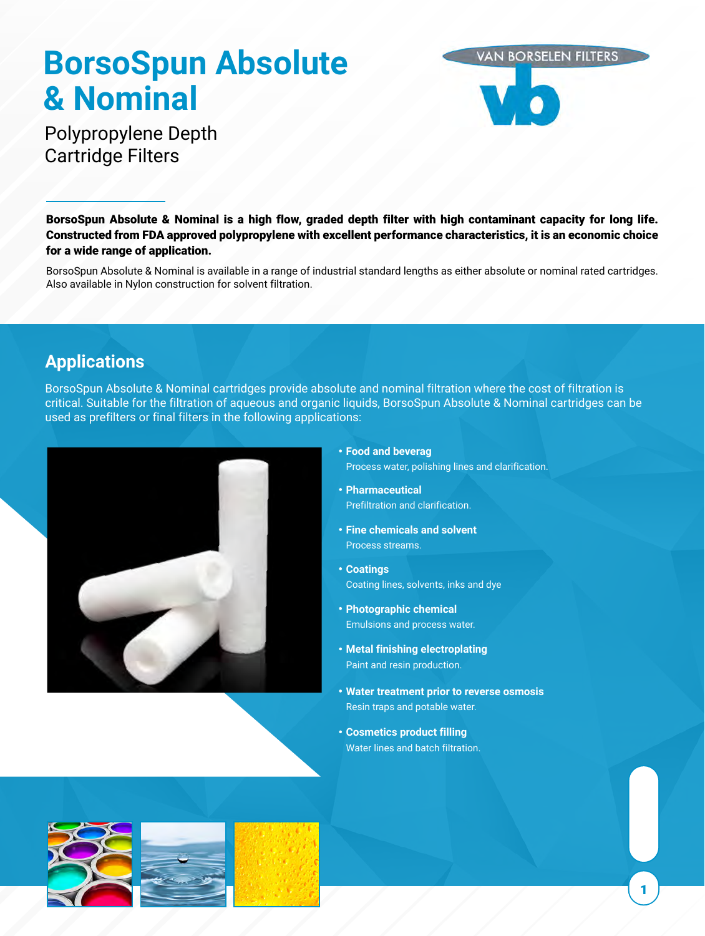# **BorsoSpun Absolute & Nominal**



# Polypropylene Depth Cartridge Filters

BorsoSpun Absolute & Nominal is a high flow, graded depth filter with high contaminant capacity for long life. Constructed from FDA approved polypropylene with excellent performance characteristics, it is an economic choice for a wide range of application.

BorsoSpun Absolute & Nominal is available in a range of industrial standard lengths as either absolute or nominal rated cartridges. Also available in Nylon construction for solvent filtration.

# **Applications**

BorsoSpun Absolute & Nominal cartridges provide absolute and nominal filtration where the cost of filtration is critical. Suitable for the filtration of aqueous and organic liquids, BorsoSpun Absolute & Nominal cartridges can be used as prefilters or final filters in the following applications:



- **Food and beverag**
	- Process water, polishing lines and clarification.
- **Pharmaceutical** Prefiltration and clarification.
- **Fine chemicals and solvent** Process streams.
- **Coatings** Coating lines, solvents, inks and dye
- **Photographic chemical** Emulsions and process water.
- **Metal finishing electroplating** Paint and resin production.
- **Water treatment prior to reverse osmosis** Resin traps and potable water.
- **Cosmetics product filling** Water lines and batch filtration.





1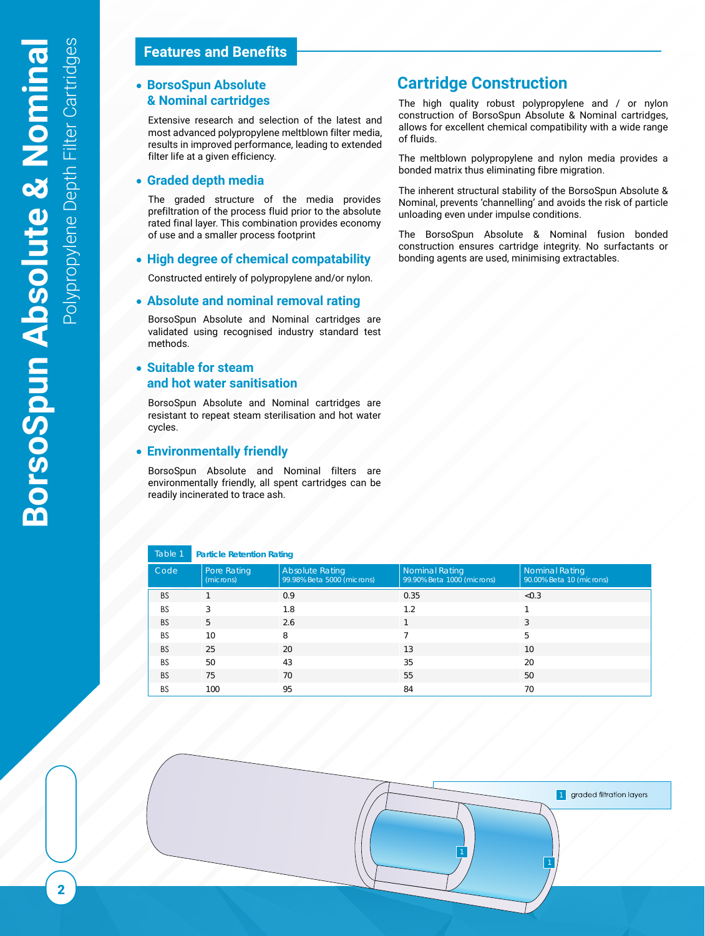#### **Features and Benefits**

# **& Nominal cartridges**

Extensive research and selection of the latest and most advanced polypropylene meltblown filter media, results in improved performance, leading to extended filter life at a given efficiency.

#### **Graded depth media**

The graded structure of the media provides prefiltration of the process fluid prior to the absolute rated final layer. This combination provides economy of use and a smaller process footprint

#### **High degree of chemical compatability**

Constructed entirely of polypropylene and/or nylon.

#### **Absolute and nominal removal rating**

BorsoSpun Absolute and Nominal cartridges are validated using recognised industry standard test methods.

#### **Suitable for steam**   $\bullet$ **and hot water sanitisation**

BorsoSpun Absolute and Nominal cartridges are resistant to repeat steam sterilisation and hot water cycles.

#### **Environmentally friendly**

BorsoSpun Absolute and Nominal filters are environmentally friendly, all spent cartridges can be readily incinerated to trace ash.

#### **Particle Retention Rating** Table 1

| Code      | Pore Rating<br>(microns) | <b>Absolute Rating</b><br>99.98% Beta 5000 (microns) | <b>Nominal Rating</b><br>99.90% Beta 1000 (microns) | <b>Nominal Rating</b><br>90.00% Beta 10 (microns) |
|-----------|--------------------------|------------------------------------------------------|-----------------------------------------------------|---------------------------------------------------|
| <b>BS</b> |                          | 0.9                                                  | 0.35                                                | < 0.3                                             |
| <b>BS</b> | 3                        | 1.8                                                  | 1.2                                                 |                                                   |
| <b>BS</b> | 5                        | 2.6                                                  |                                                     | 3                                                 |
| <b>BS</b> | 10                       | 8                                                    |                                                     | 5                                                 |
| <b>BS</b> | 25                       | 20                                                   | 13                                                  | 10                                                |
| <b>BS</b> | 50                       | 43                                                   | 35                                                  | 20                                                |
| <b>BS</b> | 75                       | 70                                                   | 55                                                  | 50                                                |
| <b>BS</b> | 100                      | 95                                                   | 84                                                  | 70                                                |

### **BorsoSpun Absolute Cartridge Construction**

The high quality robust polypropylene and / or nylon construction of BorsoSpun Absolute & Nominal cartridges, allows for excellent chemical compatibility with a wide range of fluids.

The meltblown polypropylene and nylon media provides a bonded matrix thus eliminating fibre migration.

The inherent structural stability of the BorsoSpun Absolute & Nominal, prevents 'channelling' and avoids the risk of particle unloading even under impulse conditions.

The BorsoSpun Absolute & Nominal fusion bonded construction ensures cartridge integrity. No surfactants or bonding agents are used, minimising extractables.

1 graded filtration layers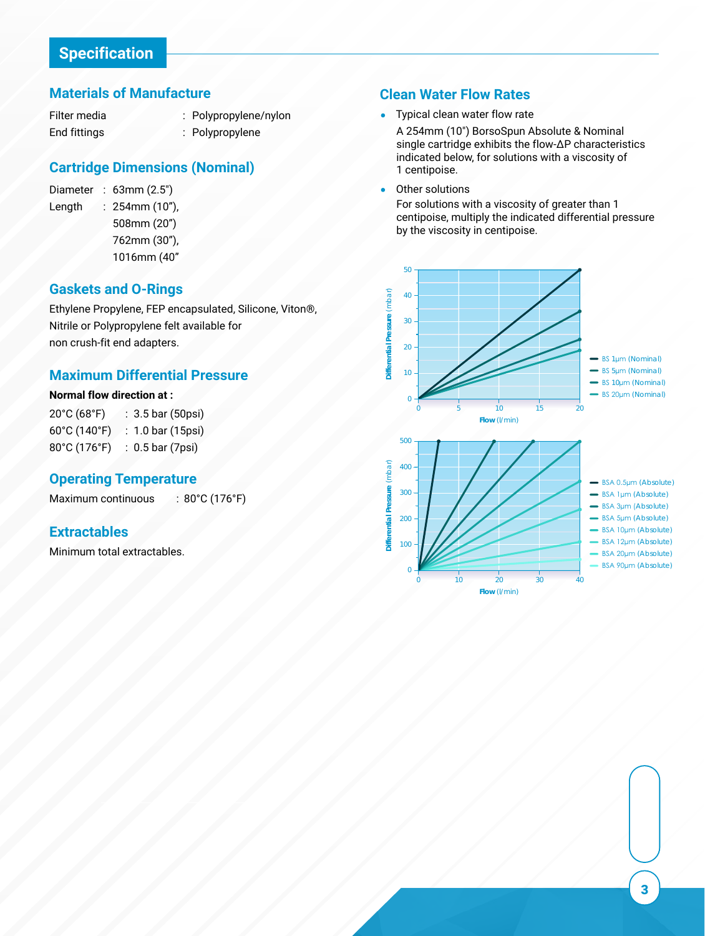#### **Materials of Manufacture**

Filter media End fittings

- Polypropylene/nylon :
- Polypropylene :

#### **Cartridge Dimensions (Nominal)**

Diameter : 63mm (2.5") Length 254mm (10"), : 508mm (20") 762mm (30"), 1016mm (40"

#### **Gaskets and O-Rings**

Ethylene Propylene, FEP encapsulated, Silicone, Viton®, Nitrile or Polypropylene felt available for non crush-fit end adapters.

#### **Maximum Differential Pressure**

#### **Normal flow direction at :**

20°C (68°F) 60°C (140°F) 1.0 bar (15psi) : 80°C (176°F) 0.5 bar (7psi) : 3.5 bar (50psi) :

#### **Operating Temperature**

Maximum continuous : 80°C (176°F)

#### **Extractables**

Minimum total extractables.

#### **Clean Water Flow Rates**

 Typical clean water flow rate  $\bullet$ 

A 254mm (10") BorsoSpun Absolute & Nominal single cartridge exhibits the flow-∆P characteristics indicated below, for solutions with a viscosity of 1 centipoise.

Other solutions

For solutions with a viscosity of greater than 1 centipoise, multiply the indicated differential pressure by the viscosity in centipoise.